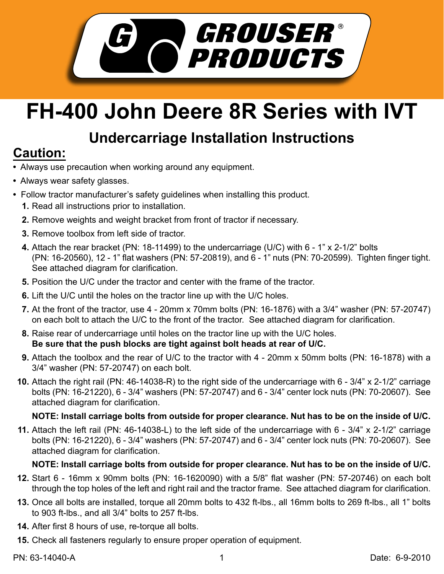

# **FH-400 John Deere 8R Series with IVT**

## **Undercarriage Installation Instructions**

## **Caution:**

- Always use precaution when working around any equipment.
- Always wear safety glasses.
- Follow tractor manufacturer's safety guidelines when installing this product.
	- **1.** Read all instructions prior to installation.
	- **2.** Remove weights and weight bracket from front of tractor if necessary.
	- **3.** Remove toolbox from left side of tractor.
	- Attach the rear bracket (PN: 18-11499) to the undercarriage (U/C) with 6 1" x 2-1/2" bolts **4.** (PN: 16-20560), 12 - 1" flat washers (PN: 57-20819), and 6 - 1" nuts (PN: 70-20599). Tighten finger tight. See attached diagram for clarification.
	- **5.** Position the U/C under the tractor and center with the frame of the tractor.
	- **6.** Lift the U/C until the holes on the tractor line up with the U/C holes.
	- At the front of the tractor, use 4 20mm x 70mm bolts (PN: 16-1876) with a 3/4" washer (PN: 57-20747) **7.** on each bolt to attach the U/C to the front of the tractor. See attached diagram for clarification.
	- **8.** Raise rear of undercarriage until holes on the tractor line up with the U/C holes. **Be sure that the push blocks are tight against bolt heads at rear of U/C.**
	- Attach the toolbox and the rear of U/C to the tractor with 4 20mm x 50mm bolts (PN: 16-1878) with a **9.** 3/4" washer (PN: 57-20747) on each bolt.
	- Attach the right rail (PN: 46-14038-R) to the right side of the undercarriage with 6 3/4" x 2-1/2" carriage **10.** bolts (PN: 16-21220), 6 - 3/4" washers (PN: 57-20747) and 6 - 3/4" center lock nuts (PN: 70-20607). See attached diagram for clarification.

### **NOTE: Install carriage bolts from outside for proper clearance. Nut has to be on the inside of U/C.**

Attach the left rail (PN: 46-14038-L) to the left side of the undercarriage with 6 - 3/4" x 2-1/2" carriage **11.** bolts (PN: 16-21220), 6 - 3/4" washers (PN: 57-20747) and 6 - 3/4" center lock nuts (PN: 70-20607). See attached diagram for clarification.

### **NOTE: Install carriage bolts from outside for proper clearance. Nut has to be on the inside of U/C.**

- **12.** Start 6 16mm x 90mm bolts (PN: 16-1620090) with a 5/8" flat washer (PN: 57-20746) on each bolt through the top holes of the left and right rail and the tractor frame. See attached diagram for clarification.
- **13.** Once all bolts are installed, torque all 20mm bolts to 432 ft-lbs., all 16mm bolts to 269 ft-lbs., all 1" bolts to 903 ft-lbs., and all 3/4" bolts to 257 ft-lbs.
- **14.** After first 8 hours of use, re-torque all bolts.
- **15.** Check all fasteners regularly to ensure proper operation of equipment.